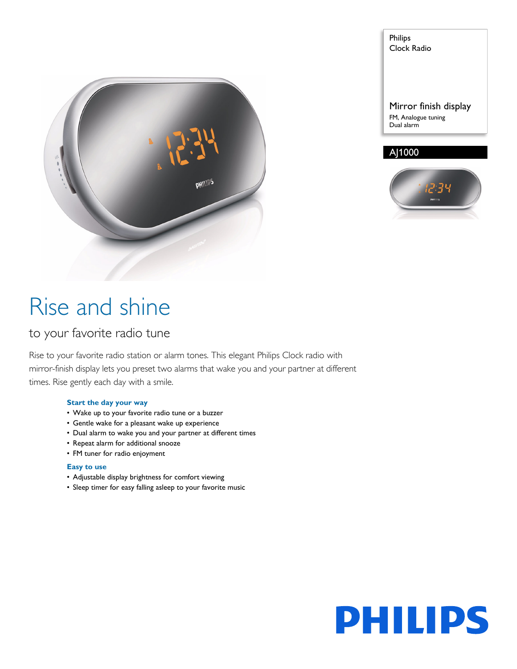

Philips Clock Radio Mirror finish display FM, Analogue tuning Dual alarm

### AJ1000



# Rise and shine

### to your favorite radio tune

Rise to your favorite radio station or alarm tones. This elegant Philips Clock radio with mirror-finish display lets you preset two alarms that wake you and your partner at different times. Rise gently each day with a smile.

#### **Start the day your way**

- Wake up to your favorite radio tune or a buzzer
- Gentle wake for a pleasant wake up experience
- Dual alarm to wake you and your partner at different times
- Repeat alarm for additional snooze
- FM tuner for radio enjoyment

#### **Easy to use**

- Adjustable display brightness for comfort viewing
- Sleep timer for easy falling asleep to your favorite music

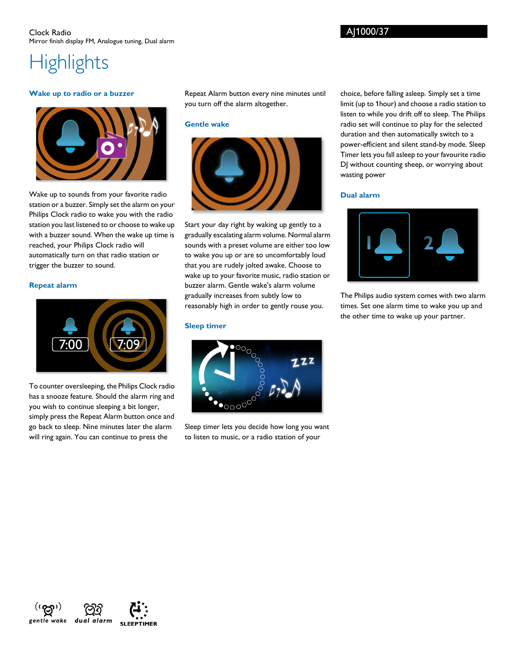## **Highlights**

#### **Wake up to radio or a buzzer**



Wake up to sounds from your favorite radio station or a buzzer. Simply set the alarm on your Philips Clock radio to wake you with the radio station you last listened to or choose to wake up with a buzzer sound. When the wake up time is reached, your Philips Clock radio will automatically turn on that radio station or trigger the buzzer to sound.

#### **Repeat alarm**



To counter oversleeping, the Philips Clock radio has a snooze feature. Should the alarm ring and you wish to continue sleeping a bit longer, simply press the Repeat Alarm button once and go back to sleep. Nine minutes later the alarm will ring again. You can continue to press the

Repeat Alarm button every nine minutes until you turn off the alarm altogether.

#### **Gentle wake**



Start your day right by waking up gently to a gradually escalating alarm volume. Normal alarm sounds with a preset volume are either too low to wake you up or are so uncomfortably loud that you are rudely jolted awake. Choose to wake up to your favorite music, radio station or buzzer alarm. Gentle wake's alarm volume gradually increases from subtly low to reasonably high in order to gently rouse you.

#### **Sleep timer**



Sleep timer lets you decide how long you want to listen to music, or a radio station of your

choice, before falling asleep. Simply set a time limit (up to 1hour) and choose a radio station to listen to while you drift off to sleep. The Philips radio set will continue to play for the selected duration and then automatically switch to a power-efficient and silent stand-by mode. Sleep Timer lets you fall asleep to your favourite radio DJ without counting sheep, or worrying about wasting power

#### **Dual alarm**



The Philips audio system comes with two alarm times. Set one alarm time to wake you up and the other time to wake up your partner.